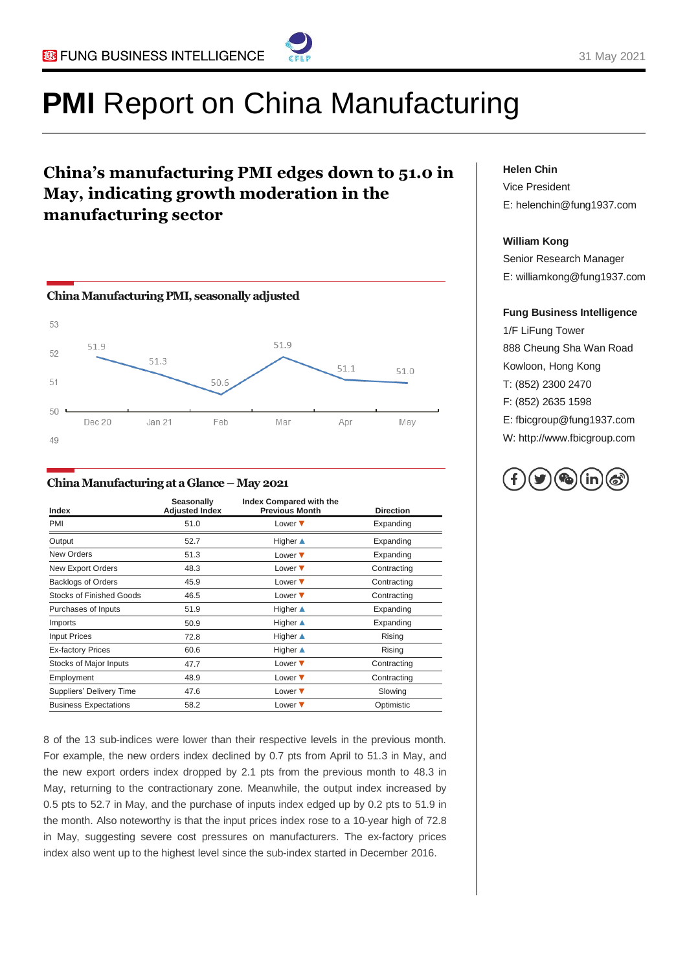

# **PMI** Report on China Manufacturing

### **China's manufacturing PMI edges down to 51.0 in May, indicating growth moderation in the manufacturing sector**



#### **China Manufacturing at a Glance –May 2021**

| Index                           | Seasonally<br><b>Adjusted Index</b> | Index Compared with the<br><b>Previous Month</b> | <b>Direction</b> |
|---------------------------------|-------------------------------------|--------------------------------------------------|------------------|
| PMI                             | 51.0                                | Lower $\blacktriangledown$                       | Expanding        |
| Output                          | 52.7                                | Higher $\triangle$                               | Expanding        |
| <b>New Orders</b>               | 51.3                                | Lower $\blacktriangledown$                       | Expanding        |
| New Export Orders               | 48.3                                | Lower $\blacktriangledown$                       | Contracting      |
| <b>Backlogs of Orders</b>       | 45.9                                | Lower $\blacktriangledown$                       | Contracting      |
| <b>Stocks of Finished Goods</b> | 46.5                                | Lower $\blacktriangledown$                       | Contracting      |
| Purchases of Inputs             | 51.9                                | Higher $\triangle$                               | Expanding        |
| Imports                         | 50.9                                | Higher $\triangle$                               | Expanding        |
| <b>Input Prices</b>             | 72.8                                | <b>Higher</b> ▲                                  | Rising           |
| <b>Ex-factory Prices</b>        | 60.6                                | Higher $\triangle$                               | Rising           |
| Stocks of Major Inputs          | 47.7                                | Lower $\blacktriangledown$                       | Contracting      |
| Employment                      | 48.9                                | Lower $\blacktriangledown$                       | Contracting      |
| Suppliers' Delivery Time        | 47.6                                | Lower $\blacktriangledown$                       | Slowing          |
| <b>Business Expectations</b>    | 58.2                                | Lower $\blacktriangledown$                       | Optimistic       |

8 of the 13 sub-indices were lower than their respective levels in the previous month. For example, the new orders index declined by 0.7 pts from April to 51.3 in May, and the new export orders index dropped by 2.1 pts from the previous month to 48.3 in May, returning to the contractionary zone. Meanwhile, the output index increased by 0.5 pts to 52.7 in May, and the purchase of inputs index edged up by 0.2 pts to 51.9 in the month. Also noteworthy is that the input prices index rose to a 10-year high of 72.8 in May, suggesting severe cost pressures on manufacturers. The ex-factory prices index also went up to the highest level since the sub-index started in December 2016.

#### **Helen Chin**

Vice President E: helenchin@fung1937.com

#### **William Kong**

Senior Research Manager E: williamkong@fung1937.com

#### **Fung Business Intelligence**

1/F LiFung Tower 888 Cheung Sha Wan Road Kowloon, Hong Kong T: (852) 2300 2470 F: (852) 2635 1598 E: fbicgroup@fung1937.com W: http://www.fbicgroup.com

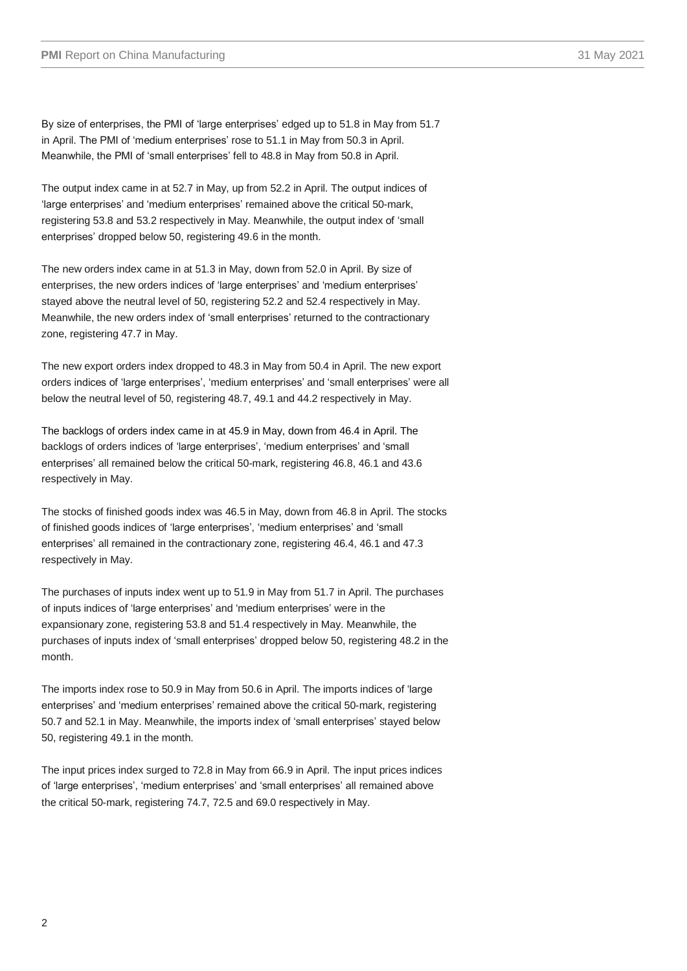By size of enterprises, the PMI of 'large enterprises' edged up to 51.8 in May from 51.7 in April. The PMI of 'medium enterprises' rose to 51.1 in May from 50.3 in April. Meanwhile, the PMI of 'small enterprises' fell to 48.8 in May from 50.8 in April.

The output index came in at 52.7 in May, up from 52.2 in April. The output indices of 'large enterprises' and 'medium enterprises' remained above the critical 50-mark, registering 53.8 and 53.2 respectively in May. Meanwhile, the output index of 'small enterprises' dropped below 50, registering 49.6 in the month.

The new orders index came in at 51.3 in May, down from 52.0 in April. By size of enterprises, the new orders indices of 'large enterprises' and 'medium enterprises' stayed above the neutral level of 50, registering 52.2 and 52.4 respectively in May. Meanwhile, the new orders index of 'small enterprises' returned to the contractionary zone, registering 47.7 in May.

The new export orders index dropped to 48.3 in May from 50.4 in April. The new export orders indices of 'large enterprises', 'medium enterprises' and 'small enterprises' were all below the neutral level of 50, registering 48.7, 49.1 and 44.2 respectively in May.

The backlogs of orders index came in at 45.9 in May, down from 46.4 in April. The backlogs of orders indices of 'large enterprises', 'medium enterprises' and 'small enterprises' all remained below the critical 50-mark, registering 46.8, 46.1 and 43.6 respectively in May.

The stocks of finished goods index was 46.5 in May, down from 46.8 in April. The stocks of finished goods indices of 'large enterprises', 'medium enterprises' and 'small enterprises' all remained in the contractionary zone, registering 46.4, 46.1 and 47.3 respectively in May.

The purchases of inputs index went up to 51.9 in May from 51.7 in April. The purchases of inputs indices of 'large enterprises' and 'medium enterprises' were in the expansionary zone, registering 53.8 and 51.4 respectively in May. Meanwhile, the purchases of inputs index of 'small enterprises' dropped below 50, registering 48.2 in the month.

The imports index rose to 50.9 in May from 50.6 in April. The imports indices of 'large enterprises' and 'medium enterprises' remained above the critical 50-mark, registering 50.7 and 52.1 in May. Meanwhile, the imports index of 'small enterprises' stayed below 50, registering 49.1 in the month.

The input prices index surged to 72.8 in May from 66.9 in April. The input prices indices of 'large enterprises', 'medium enterprises' and 'small enterprises' all remained above the critical 50-mark, registering 74.7, 72.5 and 69.0 respectively in May.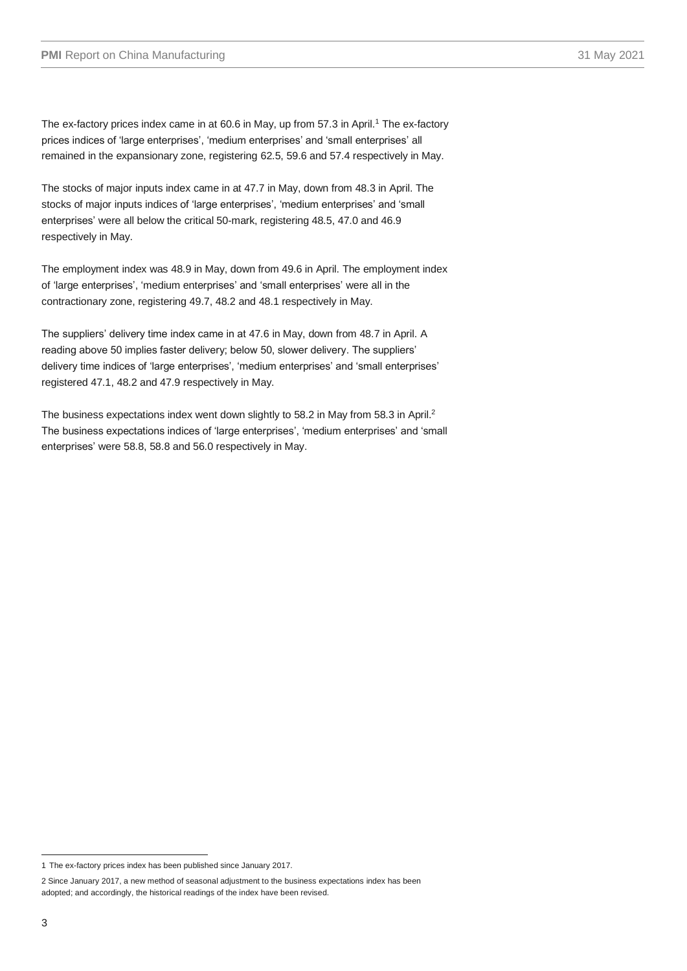The ex-factory prices index came in at 60.6 in May, up from 57.3 in April. <sup>1</sup> The ex-factory prices indices of 'large enterprises', 'medium enterprises' and 'small enterprises' all remained in the expansionary zone, registering 62.5, 59.6 and 57.4 respectively in May.

The stocks of major inputs index came in at 47.7 in May, down from 48.3 in April. The stocks of major inputs indices of 'large enterprises', 'medium enterprises' and 'small enterprises' were all below the critical 50-mark, registering 48.5, 47.0 and 46.9 respectively in May.

The employment index was 48.9 in May, down from 49.6 in April. The employment index of 'large enterprises', 'medium enterprises' and 'small enterprises' were all in the contractionary zone, registering 49.7, 48.2 and 48.1 respectively in May.

The suppliers' delivery time index came in at 47.6 in May, down from 48.7 in April. A reading above 50 implies faster delivery; below 50, slower delivery. The suppliers' delivery time indices of 'large enterprises', 'medium enterprises' and 'small enterprises' registered 47.1, 48.2 and 47.9 respectively in May.

The business expectations index went down slightly to 58.2 in May from 58.3 in April.<sup>2</sup> The business expectations indices of 'large enterprises', 'medium enterprises' and 'small enterprises' were 58.8, 58.8 and 56.0 respectively in May.

<sup>1</sup> The ex-factory prices index has been published since January 2017.

<sup>2</sup> Since January 2017, a new method of seasonal adjustment to the business expectations index has been adopted; and accordingly, the historical readings of the index have been revised.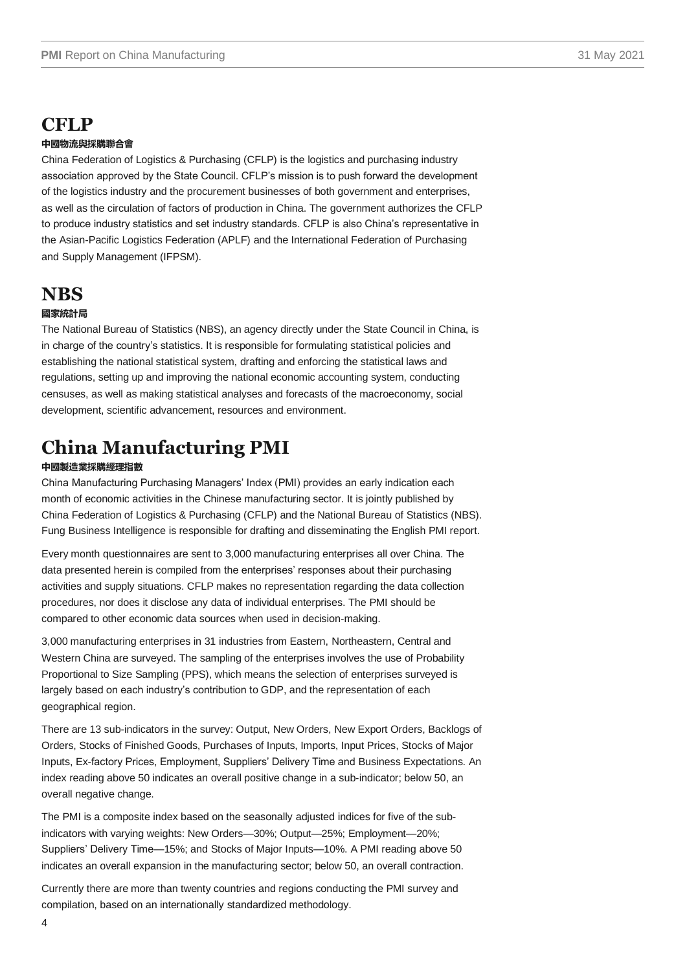# **CFLP**

#### **中國物流與採購聯合會**

China Federation of Logistics & Purchasing (CFLP) is the logistics and purchasing industry association approved by the State Council. CFLP's mission is to push forward the development of the logistics industry and the procurement businesses of both government and enterprises, as well as the circulation of factors of production in China. The government authorizes the CFLP to produce industry statistics and set industry standards. CFLP is also China's representative in the Asian-Pacific Logistics Federation (APLF) and the International Federation of Purchasing and Supply Management (IFPSM).

### **NBS**

#### **國家統計局**

The National Bureau of Statistics (NBS), an agency directly under the State Council in China, is in charge of the country's statistics. It is responsible for formulating statistical policies and establishing the national statistical system, drafting and enforcing the statistical laws and regulations, setting up and improving the national economic accounting system, conducting censuses, as well as making statistical analyses and forecasts of the macroeconomy, social development, scientific advancement, resources and environment.

# **China Manufacturing PMI**

#### **中國製造業採購經理指數**

China Manufacturing Purchasing Managers' Index (PMI) provides an early indication each month of economic activities in the Chinese manufacturing sector. It is jointly published by China Federation of Logistics & Purchasing (CFLP) and the National Bureau of Statistics (NBS). Fung Business Intelligence is responsible for drafting and disseminating the English PMI report.

Every month questionnaires are sent to 3,000 manufacturing enterprises all over China. The data presented herein is compiled from the enterprises' responses about their purchasing activities and supply situations. CFLP makes no representation regarding the data collection procedures, nor does it disclose any data of individual enterprises. The PMI should be compared to other economic data sources when used in decision-making.

3,000 manufacturing enterprises in 31 industries from Eastern, Northeastern, Central and Western China are surveyed. The sampling of the enterprises involves the use of Probability Proportional to Size Sampling (PPS), which means the selection of enterprises surveyed is largely based on each industry's contribution to GDP, and the representation of each geographical region.

There are 13 sub-indicators in the survey: Output, New Orders, New Export Orders, Backlogs of Orders, Stocks of Finished Goods, Purchases of Inputs, Imports, Input Prices, Stocks of Major Inputs, Ex-factory Prices, Employment, Suppliers' Delivery Time and Business Expectations. An index reading above 50 indicates an overall positive change in a sub-indicator; below 50, an overall negative change.

The PMI is a composite index based on the seasonally adjusted indices for five of the subindicators with varying weights: New Orders—30%; Output—25%; Employment—20%; Suppliers' Delivery Time—15%; and Stocks of Major Inputs—10%. A PMI reading above 50 indicates an overall expansion in the manufacturing sector; below 50, an overall contraction.

Currently there are more than twenty countries and regions conducting the PMI survey and compilation, based on an internationally standardized methodology.